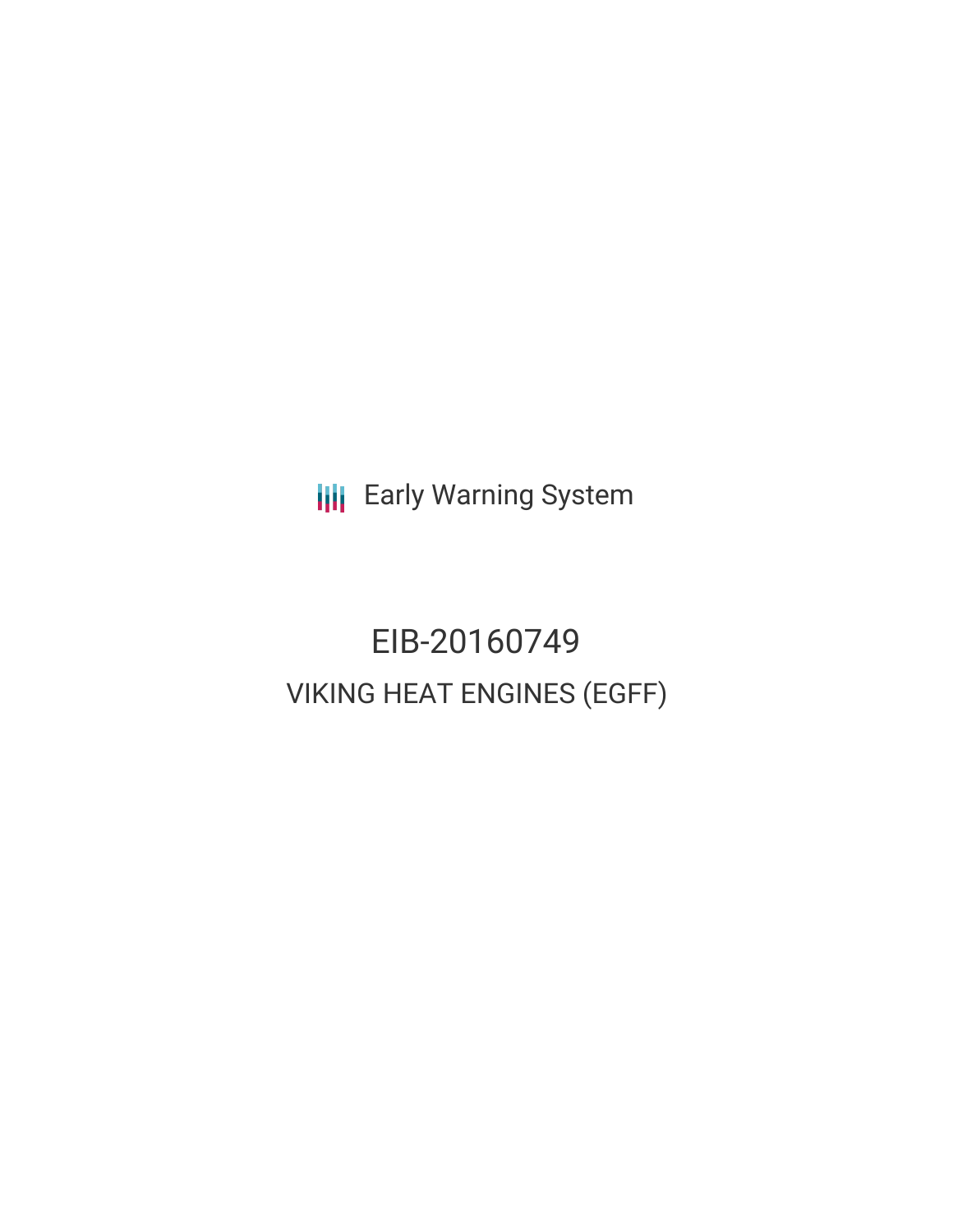**III** Early Warning System

EIB-20160749 VIKING HEAT ENGINES (EGFF)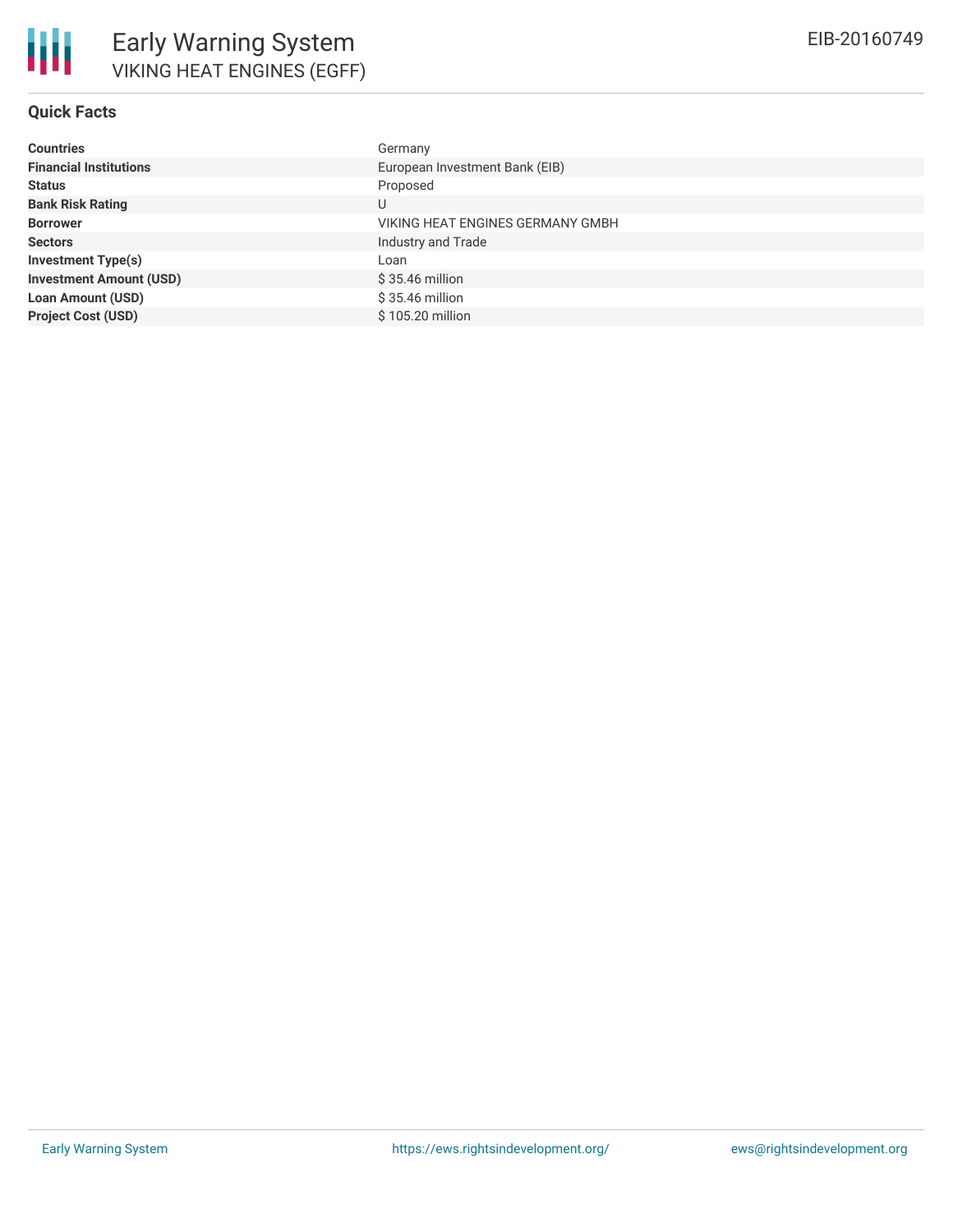# **Quick Facts**

| <b>Countries</b>               | Germany                          |
|--------------------------------|----------------------------------|
| <b>Financial Institutions</b>  | European Investment Bank (EIB)   |
| <b>Status</b>                  | Proposed                         |
| <b>Bank Risk Rating</b>        |                                  |
| <b>Borrower</b>                | VIKING HEAT ENGINES GERMANY GMBH |
| <b>Sectors</b>                 | Industry and Trade               |
| <b>Investment Type(s)</b>      | Loan                             |
| <b>Investment Amount (USD)</b> | \$35.46 million                  |
| <b>Loan Amount (USD)</b>       | $$35.46$ million                 |
| <b>Project Cost (USD)</b>      | \$105.20 million                 |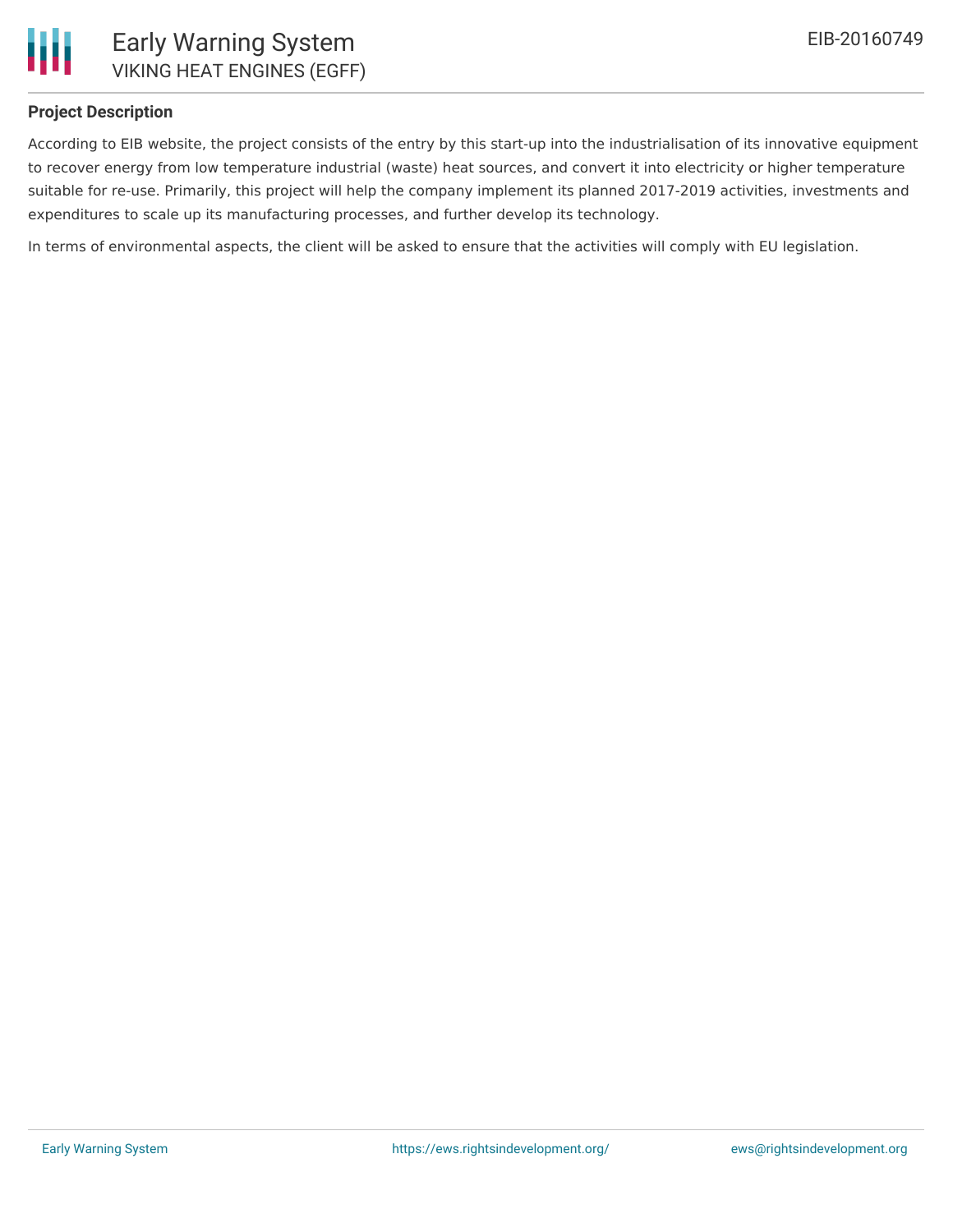

## **Project Description**

According to EIB website, the project consists of the entry by this start-up into the industrialisation of its innovative equipment to recover energy from low temperature industrial (waste) heat sources, and convert it into electricity or higher temperature suitable for re-use. Primarily, this project will help the company implement its planned 2017-2019 activities, investments and expenditures to scale up its manufacturing processes, and further develop its technology.

In terms of environmental aspects, the client will be asked to ensure that the activities will comply with EU legislation.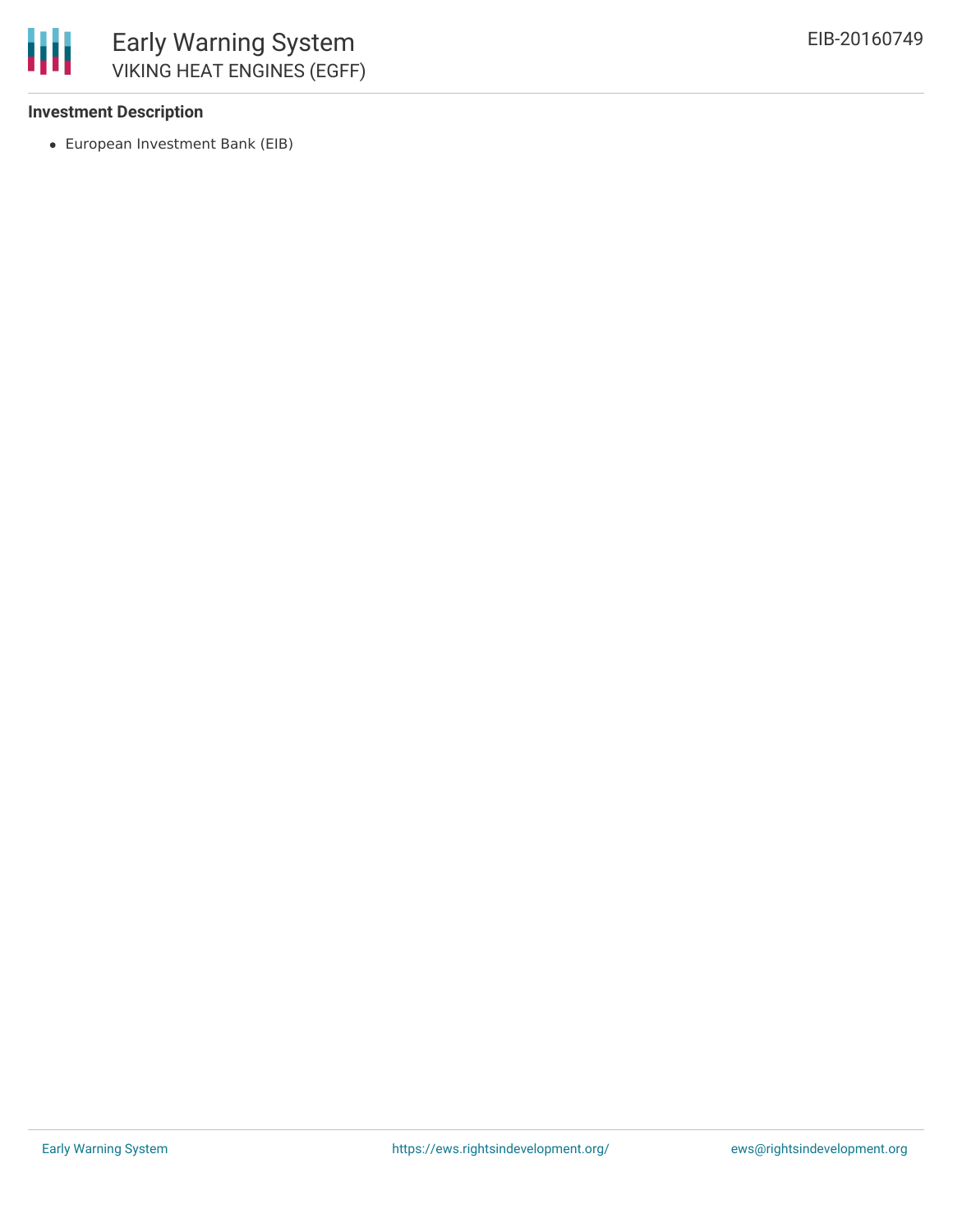

## **Investment Description**

European Investment Bank (EIB)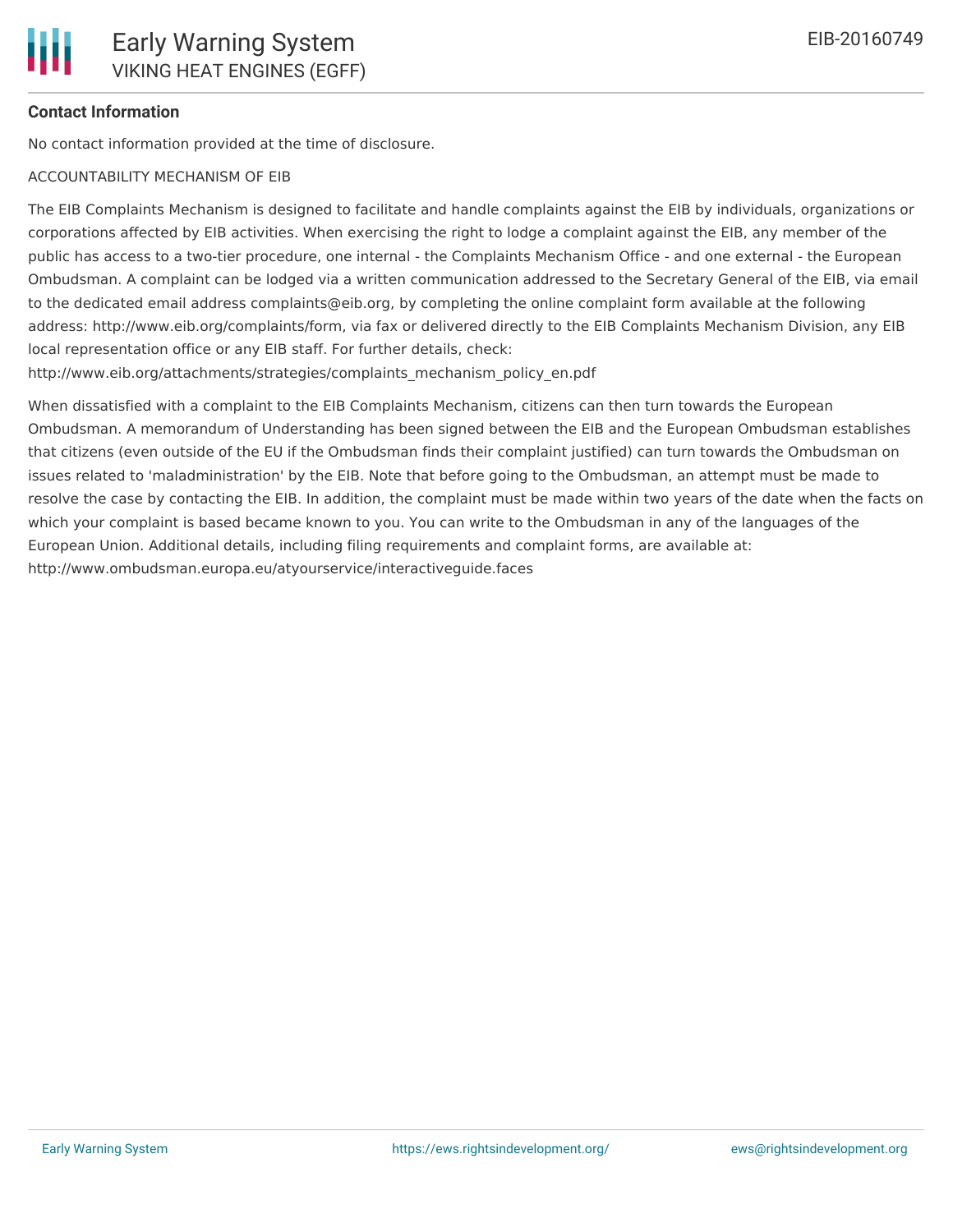## **Contact Information**

No contact information provided at the time of disclosure.

#### ACCOUNTABILITY MECHANISM OF EIB

The EIB Complaints Mechanism is designed to facilitate and handle complaints against the EIB by individuals, organizations or corporations affected by EIB activities. When exercising the right to lodge a complaint against the EIB, any member of the public has access to a two-tier procedure, one internal - the Complaints Mechanism Office - and one external - the European Ombudsman. A complaint can be lodged via a written communication addressed to the Secretary General of the EIB, via email to the dedicated email address complaints@eib.org, by completing the online complaint form available at the following address: http://www.eib.org/complaints/form, via fax or delivered directly to the EIB Complaints Mechanism Division, any EIB local representation office or any EIB staff. For further details, check:

http://www.eib.org/attachments/strategies/complaints\_mechanism\_policy\_en.pdf

When dissatisfied with a complaint to the EIB Complaints Mechanism, citizens can then turn towards the European Ombudsman. A memorandum of Understanding has been signed between the EIB and the European Ombudsman establishes that citizens (even outside of the EU if the Ombudsman finds their complaint justified) can turn towards the Ombudsman on issues related to 'maladministration' by the EIB. Note that before going to the Ombudsman, an attempt must be made to resolve the case by contacting the EIB. In addition, the complaint must be made within two years of the date when the facts on which your complaint is based became known to you. You can write to the Ombudsman in any of the languages of the European Union. Additional details, including filing requirements and complaint forms, are available at: http://www.ombudsman.europa.eu/atyourservice/interactiveguide.faces